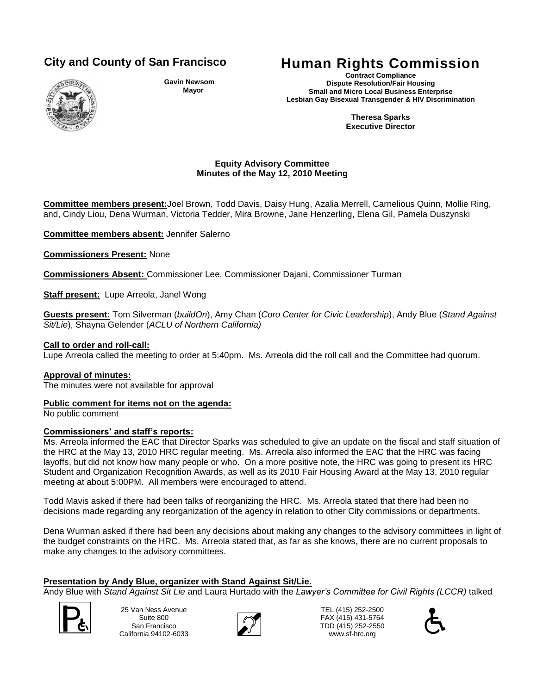

**Gavin Newsom Mayor**

# **City and County of San Francisco Human Rights Commission**

**Contract Compliance Dispute Resolution/Fair Housing Small and Micro Local Business Enterprise Lesbian Gay Bisexual Transgender & HIV Discrimination**

> **Theresa Sparks Executive Director**

# **Equity Advisory Committee Minutes of the May 12, 2010 Meeting**

**Committee members present:**Joel Brown, Todd Davis, Daisy Hung, Azalia Merrell, Carnelious Quinn, Mollie Ring, and, Cindy Liou, Dena Wurman, Victoria Tedder, Mira Browne, Jane Henzerling, Elena Gil, Pamela Duszynski

**Committee members absent:** Jennifer Salerno

**Commissioners Present:** None

**Commissioners Absent:** Commissioner Lee, Commissioner Dajani, Commissioner Turman

**Staff present:** Lupe Arreola, Janel Wong

**Guests present:** Tom Silverman (*buildOn*), Amy Chan (*Coro Center for Civic Leadership*), Andy Blue (*Stand Against Sit/Lie*), Shayna Gelender (*ACLU of Northern California)*

## **Call to order and roll-call:**

Lupe Arreola called the meeting to order at 5:40pm. Ms. Arreola did the roll call and the Committee had quorum.

#### **Approval of minutes:**

The minutes were not available for approval

#### **Public comment for items not on the agenda:**

No public comment

#### **Commissioners' and staff's reports:**

Ms. Arreola informed the EAC that Director Sparks was scheduled to give an update on the fiscal and staff situation of the HRC at the May 13, 2010 HRC regular meeting. Ms. Arreola also informed the EAC that the HRC was facing layoffs, but did not know how many people or who. On a more positive note, the HRC was going to present its HRC Student and Organization Recognition Awards, as well as its 2010 Fair Housing Award at the May 13, 2010 regular meeting at about 5:00PM. All members were encouraged to attend.

Todd Mavis asked if there had been talks of reorganizing the HRC. Ms. Arreola stated that there had been no decisions made regarding any reorganization of the agency in relation to other City commissions or departments.

Dena Wurman asked if there had been any decisions about making any changes to the advisory committees in light of the budget constraints on the HRC. Ms. Arreola stated that, as far as she knows, there are no current proposals to make any changes to the advisory committees.

#### **Presentation by Andy Blue, organizer with Stand Against Sit/Lie.**

Andy Blue with *Stand Against Sit Lie* and Laura Hurtado with the *Lawyer's Committee for Civil Rights (LCCR)* talked



25 Van Ness Avenue Suite 800 San Francisco California 94102-6033 TEL (415) 252-2500<br>
25 Van Ness Avenue<br>
Suite 800<br>
California 94102-6033<br>
California 94102-6033<br>
California 94102-6033



TEL (415) 252-2500 FAX (415) 431-5764